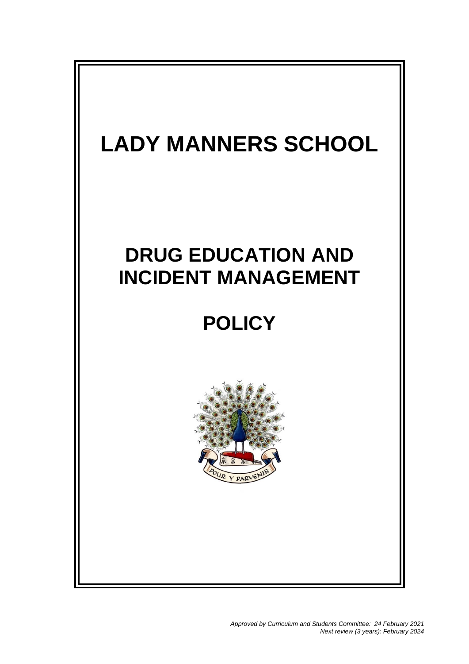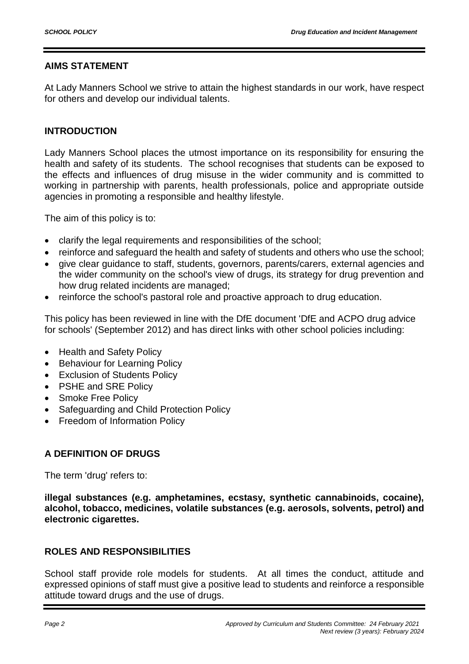# **AIMS STATEMENT**

At Lady Manners School we strive to attain the highest standards in our work, have respect for others and develop our individual talents.

# **INTRODUCTION**

Lady Manners School places the utmost importance on its responsibility for ensuring the health and safety of its students. The school recognises that students can be exposed to the effects and influences of drug misuse in the wider community and is committed to working in partnership with parents, health professionals, police and appropriate outside agencies in promoting a responsible and healthy lifestyle.

The aim of this policy is to:

- clarify the legal requirements and responsibilities of the school;
- reinforce and safeguard the health and safety of students and others who use the school;
- give clear guidance to staff, students, governors, parents/carers, external agencies and the wider community on the school's view of drugs, its strategy for drug prevention and how drug related incidents are managed;
- reinforce the school's pastoral role and proactive approach to drug education.

This policy has been reviewed in line with the DfE document 'DfE and ACPO drug advice for schools' (September 2012) and has direct links with other school policies including:

- Health and Safety Policy
- Behaviour for Learning Policy
- Exclusion of Students Policy
- PSHE and SRE Policy
- Smoke Free Policy
- Safeguarding and Child Protection Policy
- Freedom of Information Policy

# **A DEFINITION OF DRUGS**

The term 'drug' refers to:

**illegal substances (e.g. amphetamines, ecstasy, synthetic cannabinoids, cocaine), alcohol, tobacco, medicines, volatile substances (e.g. aerosols, solvents, petrol) and electronic cigarettes.**

# **ROLES AND RESPONSIBILITIES**

School staff provide role models for students. At all times the conduct, attitude and expressed opinions of staff must give a positive lead to students and reinforce a responsible attitude toward drugs and the use of drugs.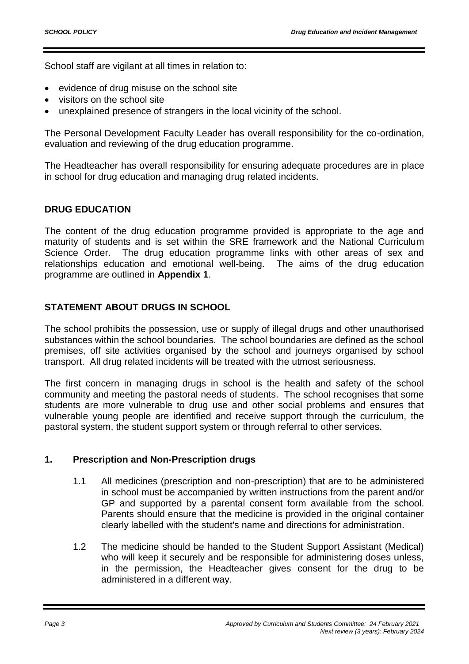School staff are vigilant at all times in relation to:

- evidence of drug misuse on the school site
- visitors on the school site
- unexplained presence of strangers in the local vicinity of the school.

The Personal Development Faculty Leader has overall responsibility for the co-ordination, evaluation and reviewing of the drug education programme.

The Headteacher has overall responsibility for ensuring adequate procedures are in place in school for drug education and managing drug related incidents.

# **DRUG EDUCATION**

The content of the drug education programme provided is appropriate to the age and maturity of students and is set within the SRE framework and the National Curriculum Science Order. The drug education programme links with other areas of sex and relationships education and emotional well-being. The aims of the drug education programme are outlined in **Appendix 1**.

# **STATEMENT ABOUT DRUGS IN SCHOOL**

The school prohibits the possession, use or supply of illegal drugs and other unauthorised substances within the school boundaries. The school boundaries are defined as the school premises, off site activities organised by the school and journeys organised by school transport. All drug related incidents will be treated with the utmost seriousness.

The first concern in managing drugs in school is the health and safety of the school community and meeting the pastoral needs of students. The school recognises that some students are more vulnerable to drug use and other social problems and ensures that vulnerable young people are identified and receive support through the curriculum, the pastoral system, the student support system or through referral to other services.

# **1. Prescription and Non-Prescription drugs**

- 1.1 All medicines (prescription and non-prescription) that are to be administered in school must be accompanied by written instructions from the parent and/or GP and supported by a parental consent form available from the school. Parents should ensure that the medicine is provided in the original container clearly labelled with the student's name and directions for administration.
- 1.2 The medicine should be handed to the Student Support Assistant (Medical) who will keep it securely and be responsible for administering doses unless, in the permission, the Headteacher gives consent for the drug to be administered in a different way.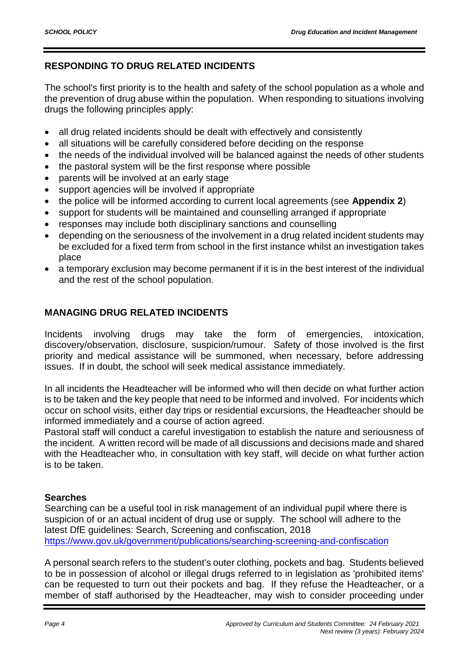# **RESPONDING TO DRUG RELATED INCIDENTS**

The school's first priority is to the health and safety of the school population as a whole and the prevention of drug abuse within the population. When responding to situations involving drugs the following principles apply:

- all drug related incidents should be dealt with effectively and consistently
- all situations will be carefully considered before deciding on the response
- the needs of the individual involved will be balanced against the needs of other students
- the pastoral system will be the first response where possible
- parents will be involved at an early stage
- support agencies will be involved if appropriate
- the police will be informed according to current local agreements (see **Appendix 2**)
- support for students will be maintained and counselling arranged if appropriate
- responses may include both disciplinary sanctions and counselling
- depending on the seriousness of the involvement in a drug related incident students may be excluded for a fixed term from school in the first instance whilst an investigation takes place
- a temporary exclusion may become permanent if it is in the best interest of the individual and the rest of the school population.

# **MANAGING DRUG RELATED INCIDENTS**

Incidents involving drugs may take the form of emergencies, intoxication, discovery/observation, disclosure, suspicion/rumour. Safety of those involved is the first priority and medical assistance will be summoned, when necessary, before addressing issues. If in doubt, the school will seek medical assistance immediately.

In all incidents the Headteacher will be informed who will then decide on what further action is to be taken and the key people that need to be informed and involved. For incidents which occur on school visits, either day trips or residential excursions, the Headteacher should be informed immediately and a course of action agreed.

Pastoral staff will conduct a careful investigation to establish the nature and seriousness of the incident. A written record will be made of all discussions and decisions made and shared with the Headteacher who, in consultation with key staff, will decide on what further action is to be taken.

# **Searches**

Searching can be a useful tool in risk management of an individual pupil where there is suspicion of or an actual incident of drug use or supply. The school will adhere to the latest DfE guidelines: Search, Screening and confiscation, 2018 <https://www.gov.uk/government/publications/searching-screening-and-confiscation>

A personal search refers to the student's outer clothing, pockets and bag. Students believed to be in possession of alcohol or illegal drugs referred to in legislation as 'prohibited items' can be requested to turn out their pockets and bag. If they refuse the Headteacher, or a member of staff authorised by the Headteacher, may wish to consider proceeding under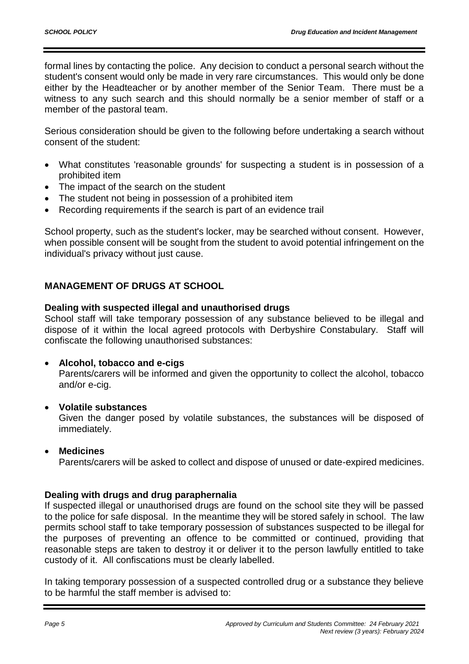formal lines by contacting the police. Any decision to conduct a personal search without the student's consent would only be made in very rare circumstances. This would only be done either by the Headteacher or by another member of the Senior Team. There must be a witness to any such search and this should normally be a senior member of staff or a member of the pastoral team.

Serious consideration should be given to the following before undertaking a search without consent of the student:

- What constitutes 'reasonable grounds' for suspecting a student is in possession of a prohibited item
- The impact of the search on the student
- The student not being in possession of a prohibited item
- Recording requirements if the search is part of an evidence trail

School property, such as the student's locker, may be searched without consent. However, when possible consent will be sought from the student to avoid potential infringement on the individual's privacy without just cause.

# **MANAGEMENT OF DRUGS AT SCHOOL**

# **Dealing with suspected illegal and unauthorised drugs**

School staff will take temporary possession of any substance believed to be illegal and dispose of it within the local agreed protocols with Derbyshire Constabulary. Staff will confiscate the following unauthorised substances:

#### **Alcohol, tobacco and e-cigs**

Parents/carers will be informed and given the opportunity to collect the alcohol, tobacco and/or e-cig.

#### **Volatile substances**

Given the danger posed by volatile substances, the substances will be disposed of immediately.

# **Medicines**

Parents/carers will be asked to collect and dispose of unused or date-expired medicines.

# **Dealing with drugs and drug paraphernalia**

If suspected illegal or unauthorised drugs are found on the school site they will be passed to the police for safe disposal. In the meantime they will be stored safely in school. The law permits school staff to take temporary possession of substances suspected to be illegal for the purposes of preventing an offence to be committed or continued, providing that reasonable steps are taken to destroy it or deliver it to the person lawfully entitled to take custody of it. All confiscations must be clearly labelled.

In taking temporary possession of a suspected controlled drug or a substance they believe to be harmful the staff member is advised to: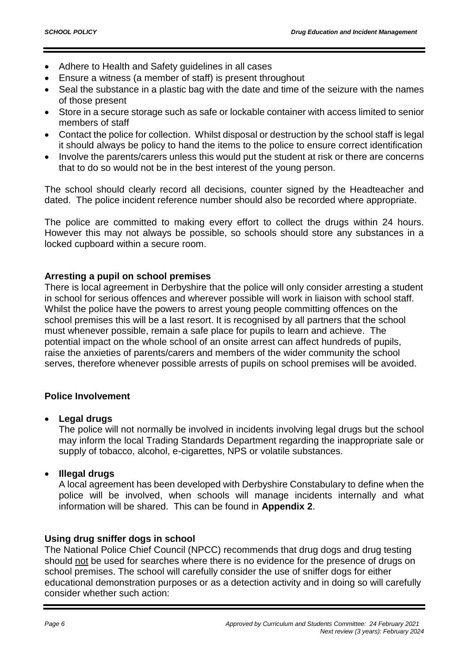- Adhere to Health and Safety guidelines in all cases
- Ensure a witness (a member of staff) is present throughout
- Seal the substance in a plastic bag with the date and time of the seizure with the names of those present
- Store in a secure storage such as safe or lockable container with access limited to senior members of staff
- Contact the police for collection. Whilst disposal or destruction by the school staff is legal it should always be policy to hand the items to the police to ensure correct identification
- Involve the parents/carers unless this would put the student at risk or there are concerns that to do so would not be in the best interest of the young person.

The school should clearly record all decisions, counter signed by the Headteacher and dated. The police incident reference number should also be recorded where appropriate.

The police are committed to making every effort to collect the drugs within 24 hours. However this may not always be possible, so schools should store any substances in a locked cupboard within a secure room.

# **Arresting a pupil on school premises**

There is local agreement in Derbyshire that the police will only consider arresting a student in school for serious offences and wherever possible will work in liaison with school staff. Whilst the police have the powers to arrest young people committing offences on the school premises this will be a last resort. It is recognised by all partners that the school must whenever possible, remain a safe place for pupils to learn and achieve. The potential impact on the whole school of an onsite arrest can affect hundreds of pupils, raise the anxieties of parents/carers and members of the wider community the school serves, therefore whenever possible arrests of pupils on school premises will be avoided.

# **Police Involvement**

# **Legal drugs**

The police will not normally be involved in incidents involving legal drugs but the school may inform the local Trading Standards Department regarding the inappropriate sale or supply of tobacco, alcohol, e-cigarettes, NPS or volatile substances.

# **Illegal drugs**

A local agreement has been developed with Derbyshire Constabulary to define when the police will be involved, when schools will manage incidents internally and what information will be shared. This can be found in **Appendix 2**.

# **Using drug sniffer dogs in school**

The National Police Chief Council (NPCC) recommends that drug dogs and drug testing should not be used for searches where there is no evidence for the presence of drugs on school premises. The school will carefully consider the use of sniffer dogs for either educational demonstration purposes or as a detection activity and in doing so will carefully consider whether such action: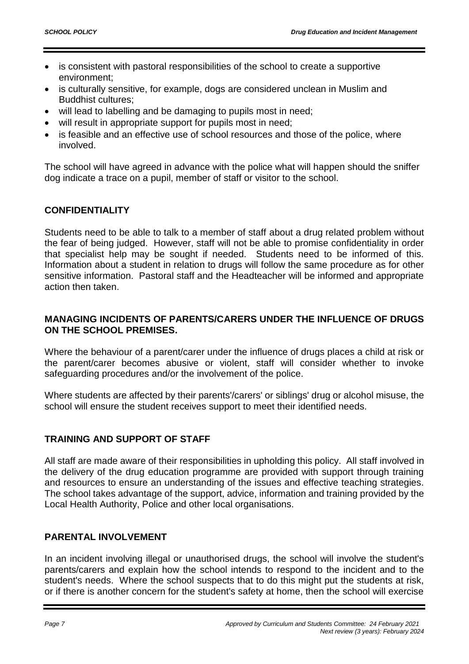- is consistent with pastoral responsibilities of the school to create a supportive environment;
- is culturally sensitive, for example, dogs are considered unclean in Muslim and Buddhist cultures;
- will lead to labelling and be damaging to pupils most in need;
- will result in appropriate support for pupils most in need;
- is feasible and an effective use of school resources and those of the police, where involved.

The school will have agreed in advance with the police what will happen should the sniffer dog indicate a trace on a pupil, member of staff or visitor to the school.

# **CONFIDENTIALITY**

Students need to be able to talk to a member of staff about a drug related problem without the fear of being judged. However, staff will not be able to promise confidentiality in order that specialist help may be sought if needed. Students need to be informed of this. Information about a student in relation to drugs will follow the same procedure as for other sensitive information. Pastoral staff and the Headteacher will be informed and appropriate action then taken.

# **MANAGING INCIDENTS OF PARENTS/CARERS UNDER THE INFLUENCE OF DRUGS ON THE SCHOOL PREMISES.**

Where the behaviour of a parent/carer under the influence of drugs places a child at risk or the parent/carer becomes abusive or violent, staff will consider whether to invoke safeguarding procedures and/or the involvement of the police.

Where students are affected by their parents'/carers' or siblings' drug or alcohol misuse, the school will ensure the student receives support to meet their identified needs.

# **TRAINING AND SUPPORT OF STAFF**

All staff are made aware of their responsibilities in upholding this policy. All staff involved in the delivery of the drug education programme are provided with support through training and resources to ensure an understanding of the issues and effective teaching strategies. The school takes advantage of the support, advice, information and training provided by the Local Health Authority, Police and other local organisations.

# **PARENTAL INVOLVEMENT**

In an incident involving illegal or unauthorised drugs, the school will involve the student's parents/carers and explain how the school intends to respond to the incident and to the student's needs. Where the school suspects that to do this might put the students at risk, or if there is another concern for the student's safety at home, then the school will exercise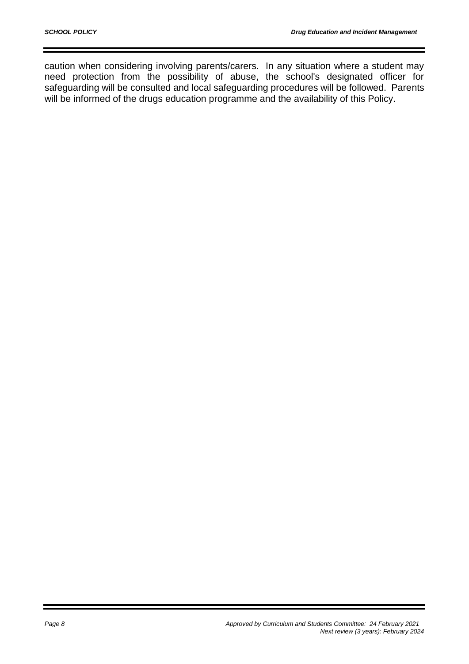caution when considering involving parents/carers. In any situation where a student may need protection from the possibility of abuse, the school's designated officer for safeguarding will be consulted and local safeguarding procedures will be followed. Parents will be informed of the drugs education programme and the availability of this Policy.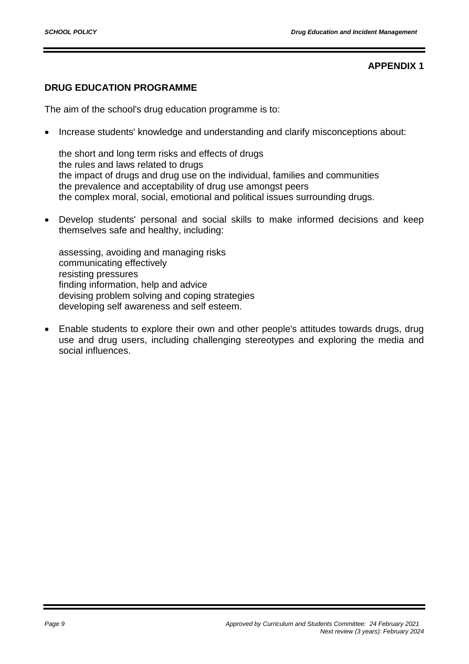# **APPENDIX 1**

# **DRUG EDUCATION PROGRAMME**

The aim of the school's drug education programme is to:

Increase students' knowledge and understanding and clarify misconceptions about:

the short and long term risks and effects of drugs the rules and laws related to drugs the impact of drugs and drug use on the individual, families and communities the prevalence and acceptability of drug use amongst peers the complex moral, social, emotional and political issues surrounding drugs.

 Develop students' personal and social skills to make informed decisions and keep themselves safe and healthy, including:

assessing, avoiding and managing risks communicating effectively resisting pressures finding information, help and advice devising problem solving and coping strategies developing self awareness and self esteem.

 Enable students to explore their own and other people's attitudes towards drugs, drug use and drug users, including challenging stereotypes and exploring the media and social influences.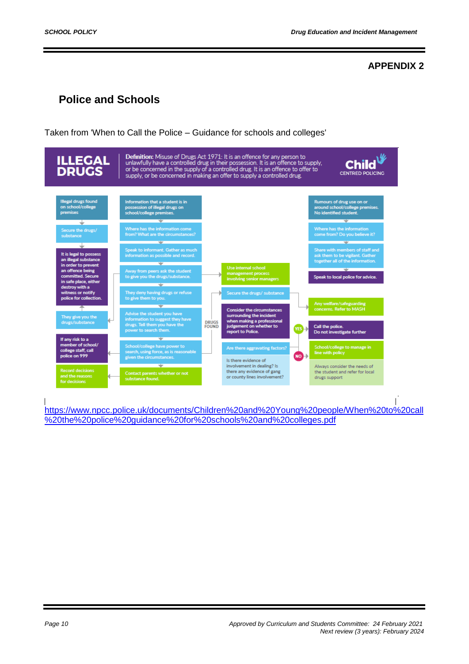# **APPENDIX 2**

# **Police and Schools**

Taken from 'When to Call the Police – Guidance for schools and colleges'



[https://www.npcc.police.uk/documents/Children%20and%20Young%20people/When%20to%20call](https://www.npcc.police.uk/documents/Children%20and%20Young%20people/When%20to%20call%20the%20police%20guidance%20for%20schools%20and%20colleges.pdf) [%20the%20police%20guidance%20for%20schools%20and%20colleges.pdf](https://www.npcc.police.uk/documents/Children%20and%20Young%20people/When%20to%20call%20the%20police%20guidance%20for%20schools%20and%20colleges.pdf)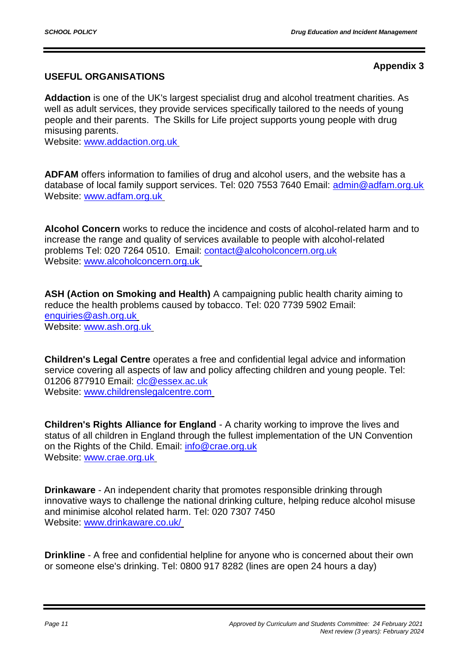**Appendix 3**

# **USEFUL ORGANISATIONS**

**Addaction** is one of the UK's largest specialist drug and alcohol treatment charities. As well as adult services, they provide services specifically tailored to the needs of young people and their parents. The Skills for Life project supports young people with drug misusing parents.

Website: [www.addaction.org.uk](http://www.addaction.org.uk/)

**ADFAM** offers information to families of drug and alcohol users, and the website has a database of local family support services. Tel: 020 7553 7640 Email: [admin@adfam.org.uk](file://///server1c/users/JaneOrley/mywork/Admin/School%20Policies%20and%20Procedures/Draft/admin@adfam.org.uk%20) Website: [www.adfam.org.uk](http://www.adfam.org.uk/)

**Alcohol Concern** works to reduce the incidence and costs of alcohol-related harm and to increase the range and quality of services available to people with alcohol-related problems Tel: 020 7264 0510. Email: [contact@alcoholconcern.org.uk](file://///server1c/users/JaneOrley/mywork/Admin/School%20Policies%20and%20Procedures/Draft/contact@alcoholconcern.org.uk%20) Website: [www.alcoholconcern.org.uk](http://www.alcoholconcern.org.uk/)

**ASH (Action on Smoking and Health)** A campaigning public health charity aiming to reduce the health problems caused by tobacco. Tel: 020 7739 5902 Email: [enquiries@ash.org.uk](mailto:enquiries@ash.org.uk) Website: [www.ash.org.uk](http://www.ash.org.uk/)

**Children's Legal Centre** operates a free and confidential legal advice and information service covering all aspects of law and policy affecting children and young people. Tel: 01206 877910 Email: *clc@essex.ac.uk* Website: [www.childrenslegalcentre.com](http://www.childrenslegalcentre.com/)

**Children's Rights Alliance for England** - A charity working to improve the lives and status of all children in England through the fullest implementation of the UN Convention on the Rights of the Child. Email: [info@crae.org.uk](mailto:info@crae.org.uk) Website: [www.crae.org.uk](http://www.crae.org.uk/)

**Drinkaware** - An independent charity that promotes responsible drinking through innovative ways to challenge the national drinking culture, helping reduce alcohol misuse and minimise alcohol related harm. Tel: 020 7307 7450 Website: [www.drinkaware.co.uk/](http://www.drinkaware.co.uk/)

**Drinkline** - A free and confidential helpline for anyone who is concerned about their own or someone else's drinking. Tel: 0800 917 8282 (lines are open 24 hours a day)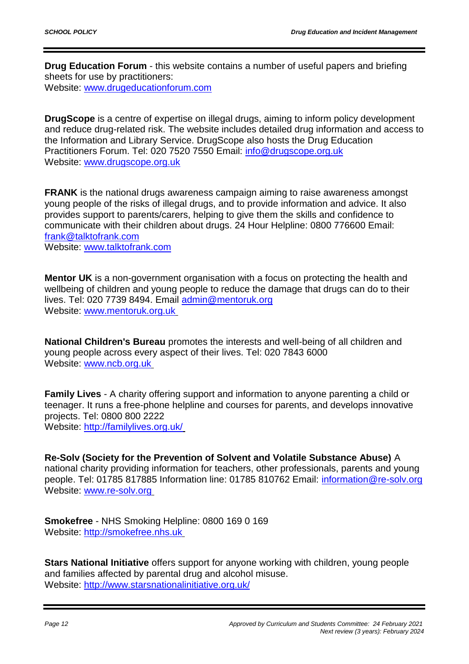**Drug Education Forum** - this website contains a number of useful papers and briefing sheets for use by practitioners: Website: [www.drugeducationforum.com](http://www.drugeducationforum.com/)

**DrugScope** is a centre of expertise on illegal drugs, aiming to inform policy development and reduce drug-related risk. The website includes detailed drug information and access to the Information and Library Service. DrugScope also hosts the Drug Education Practitioners Forum. Tel: 020 7520 7550 Email: [info@drugscope.org.uk](mailto:info@drugscope.org.uk) Website: [www.drugscope.org.uk](http://www.drugscope.org.uk/)

**FRANK** is the national drugs awareness campaign aiming to raise awareness amongst young people of the risks of illegal drugs, and to provide information and advice. It also provides support to parents/carers, helping to give them the skills and confidence to communicate with their children about drugs. 24 Hour Helpline: 0800 776600 Email: [frank@talktofrank.com](mailto:frank@talktofrank.com)

Website: [www.talktofrank.com](http://www.talktofrank.com/)

**Mentor UK** is a non-government organisation with a focus on protecting the health and wellbeing of children and young people to reduce the damage that drugs can do to their lives. Tel: 020 7739 8494. Email [admin@mentoruk.org](mailto:admin@mentoruk.org) Website: [www.mentoruk.org.uk](http://www.mentoruk.org.uk/)

**National Children's Bureau** promotes the interests and well-being of all children and young people across every aspect of their lives. Tel: 020 7843 6000 Website: [www.ncb.org.uk](http://www.ncb.org.uk/)

**Family Lives** - A charity offering support and information to anyone parenting a child or teenager. It runs a free-phone helpline and courses for parents, and develops innovative projects. Tel: 0800 800 2222 Website:<http://familylives.org.uk/>

**Re-Solv (Society for the Prevention of Solvent and Volatile Substance Abuse)** A national charity providing information for teachers, other professionals, parents and young people. Tel: 01785 817885 Information line: 01785 810762 Email: [information@re-solv.org](mailto:information@re-solv.org) Website: [www.re-solv.org](http://www.re-solv.org/)

**Smokefree** - NHS Smoking Helpline: 0800 169 0 169 Website: [http://smokefree.nhs.uk](http://smokefree.nhs.uk/)

**Stars National Initiative** offers support for anyone working with children, young people and families affected by parental drug and alcohol misuse. Website:<http://www.starsnationalinitiative.org.uk/>